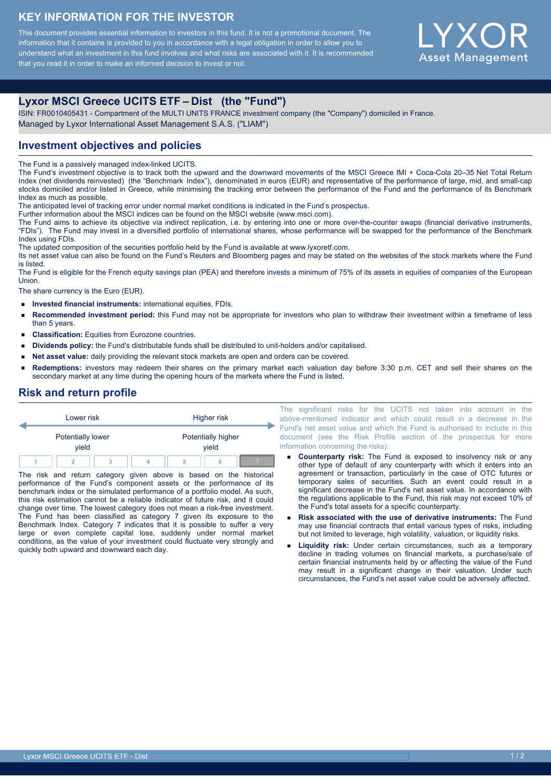# **KEY INFORMATION FOR THE INVESTOR**

This document provides essential information to investors in this fund. It is not a promotional document. The information that it contains is provided to you in accordance with a legal obligation in order to allow you to understand what an investment in this fund involves and what risks are associated with it. It is recommended that you read it in order to make an informed decision to invest or not.



# **Lyxor MSCI Greece UCITS ETF – Dist (the "Fund")**

ISIN: FR0010405431 - Compartment of the MULTI UNITS FRANCE investment company (the "Company") domiciled in France. Managed by Lyxor International Asset Management S.A.S. ("LIAM")

### **Investment objectives and policies**

The Fund is a passively managed index-linked UCITS.

The Fund's investment objective is to track both the upward and the downward movements of the MSCI Greece IMI + Coca-Cola 20–35 Net Total Return Index (net dividends reinvested) (the "Benchmark Index"), denominated in euros (EUR) and representative of the performance of large, mid, and small-cap stocks domiciled and/or listed in Greece, while minimising the tracking error between the performance of the Fund and the performance of its Benchmark Index as much as possible.

The anticipated level of tracking error under normal market conditions is indicated in the Fund's prospectus.

Further information about the MSCI indices can be found on the MSCI website (www.msci.com).

The Fund aims to achieve its objective via indirect replication, i.e. by entering into one or more over-the-counter swaps (financial derivative instruments, "FDIs"). The Fund may invest in a diversified portfolio of international shares, whose performance will be swapped for the performance of the Benchmark Index using FDIs.

The updated composition of the securities portfolio held by the Fund is available at www.lyxoretf.com.

Its net asset value can also be found on the Fund's Reuters and Bloomberg pages and may be stated on the websites of the stock markets where the Fund is listed.

The Fund is eligible for the French equity savings plan (PEA) and therefore invests a minimum of 75% of its assets in equities of companies of the European **Union** 

The share currency is the Euro (EUR).

- **Invested financial instruments:** international equities, FDIs.  $\blacksquare$
- **Recommended investment period:** this Fund may not be appropriate for investors who plan to withdraw their investment within a timeframe of less than 5 years.
- **Classification:** Equities from Eurozone countries.
- **Dividends policy:** the Fund's distributable funds shall be distributed to unit-holders and/or capitalised.
- **Net asset value:** daily providing the relevant stock markets are open and orders can be covered.  $\blacksquare$
- **Redemptions:** investors may redeem their shares on the primary market each valuation day before 3:30 p.m. CET and sell their shares on the secondary market at any time during the opening hours of the markets where the Fund is listed.

### **Risk and return profile**

| Lower risk |                            |  | Higher risk |                             |  |  |  |
|------------|----------------------------|--|-------------|-----------------------------|--|--|--|
|            | Potentially lower<br>vield |  |             | Potentially higher<br>vield |  |  |  |
|            |                            |  |             |                             |  |  |  |

The risk and return category given above is based on the historical performance of the Fund's component assets or the performance of its benchmark index or the simulated performance of a portfolio model. As such, this risk estimation cannot be a reliable indicator of future risk, and it could change over time. The lowest category does not mean a risk-free investment. The Fund has been classified as category 7 given its exposure to the Benchmark Index. Category 7 indicates that it is possible to suffer a very large or even complete capital loss, suddenly under normal market conditions, as the value of your investment could fluctuate very strongly and quickly both upward and downward each day.

The significant risks for the UCITS not taken into account in the above-mentioned indicator and which could result in a decrease in the Fund's net asset value and which the Fund is authorised to include in this document (see the Risk Profile section of the prospectus for more information concerning the risks):

- **Counterparty risk:** The Fund is exposed to insolvency risk or any other type of default of any counterparty with which it enters into an agreement or transaction, particularly in the case of OTC futures or temporary sales of securities. Such an event could result in a significant decrease in the Fund's net asset value. In accordance with the regulations applicable to the Fund, this risk may not exceed 10% of the Fund's total assets for a specific counterparty.
- **Risk associated with the use of derivative instruments:** The Fund may use financial contracts that entail various types of risks, including but not limited to leverage, high volatility, valuation, or liquidity risks.
- **Liquidity risk:** Under certain circumstances, such as a temporary decline in trading volumes on financial markets, a purchase/sale of certain financial instruments held by or affecting the value of the Fund may result in a significant change in their valuation. Under such circumstances, the Fund's net asset value could be adversely affected.